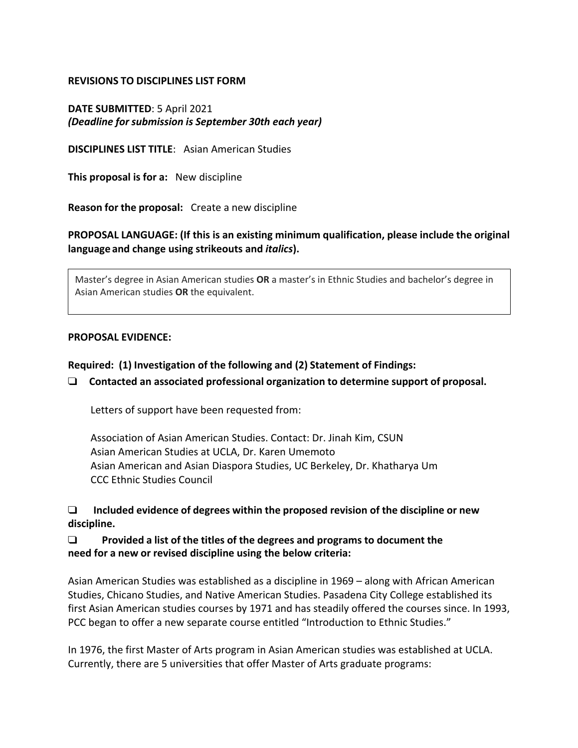#### **REVISIONS TO DISCIPLINES LIST FORM**

**DATE SUBMITTED**: 5 April 2021 *(Deadline for submission is September 30th each year)*

**DISCIPLINES LIST TITLE**: Asian American Studies

**This proposal is for a:** New discipline

**Reason for the proposal:** Create a new discipline

### **PROPOSAL LANGUAGE: (If this is an existing minimum qualification, please include the original language and change using strikeouts and** *italics***).**

Master's degree in Asian American studies **OR** a master's in Ethnic Studies and bachelor's degree in Asian American studies **OR** the equivalent.

#### **PROPOSAL EVIDENCE:**

#### **Required: (1) Investigation of the following and (2) Statement of Findings:**

#### ! **Contacted an associated professional organization to determine support of proposal.**

Letters of support have been requested from:

Association of Asian American Studies. Contact: Dr. Jinah Kim, CSUN Asian American Studies at UCLA, Dr. Karen Umemoto Asian American and Asian Diaspora Studies, UC Berkeley, Dr. Khatharya Um CCC Ethnic Studies Council

! **Included evidence of degrees within the proposed revision of the discipline or new discipline.**

#### ! **Provided a list of the titles of the degrees and programs to document the need for a new or revised discipline using the below criteria:**

Asian American Studies was established as a discipline in 1969 – along with African American Studies, Chicano Studies, and Native American Studies. Pasadena City College established its first Asian American studies courses by 1971 and has steadily offered the courses since. In 1993, PCC began to offer a new separate course entitled "Introduction to Ethnic Studies."

In 1976, the first Master of Arts program in Asian American studies was established at UCLA. Currently, there are 5 universities that offer Master of Arts graduate programs: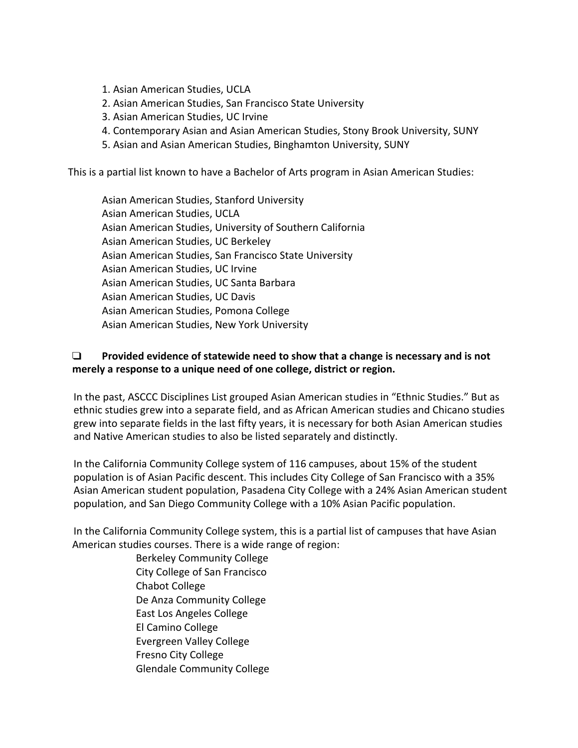- 1. Asian American Studies, UCLA
- 2. Asian American Studies, San Francisco State University
- 3. Asian American Studies, UC Irvine
- 4. Contemporary Asian and Asian American Studies, Stony Brook University, SUNY
- 5. Asian and Asian American Studies, Binghamton University, SUNY

This is a partial list known to have a Bachelor of Arts program in Asian American Studies:

Asian American Studies, Stanford University Asian American Studies, UCLA Asian American Studies, University of Southern California Asian American Studies, UC Berkeley Asian American Studies, San Francisco State University Asian American Studies, UC Irvine Asian American Studies, UC Santa Barbara Asian American Studies, UC Davis Asian American Studies, Pomona College Asian American Studies, New York University

### ! **Provided evidence of statewide need to show that a change is necessary and is not merely a response to a unique need of one college, district or region.**

In the past, ASCCC Disciplines List grouped Asian American studies in "Ethnic Studies." But as ethnic studies grew into a separate field, and as African American studies and Chicano studies grew into separate fields in the last fifty years, it is necessary for both Asian American studies and Native American studies to also be listed separately and distinctly.

In the California Community College system of 116 campuses, about 15% of the student population is of Asian Pacific descent. This includes City College of San Francisco with a 35% Asian American student population, Pasadena City College with a 24% Asian American student population, and San Diego Community College with a 10% Asian Pacific population.

In the California Community College system, this is a partial list of campuses that have Asian American studies courses. There is a wide range of region:

> Berkeley Community College City College of San Francisco Chabot College De Anza Community College East Los Angeles College El Camino College Evergreen Valley College Fresno City College Glendale Community College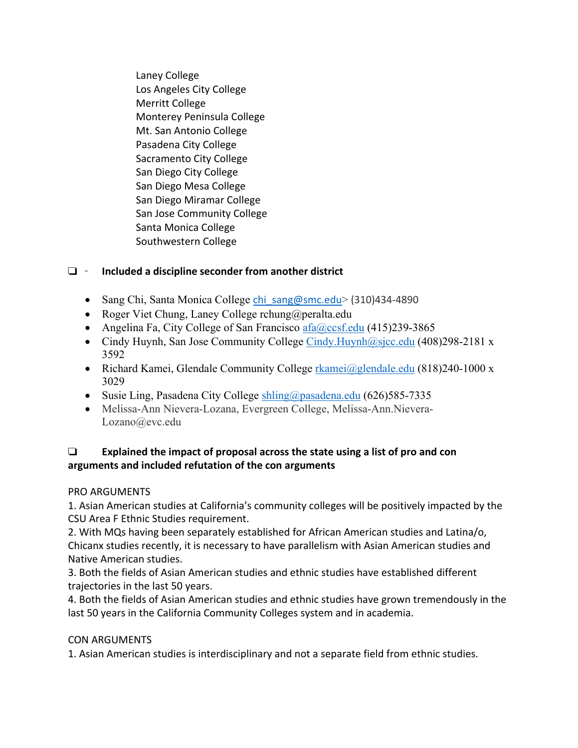Laney College Los Angeles City College Merritt College Monterey Peninsula College Mt. San Antonio College Pasadena City College Sacramento City College San Diego City College San Diego Mesa College San Diego Miramar College San Jose Community College Santa Monica College Southwestern College

# ! **Included a discipline seconder from another district**

- Sang Chi, Santa Monica College chi\_sang@smc.edu> (310)434-4890
- Roger Viet Chung, Laney College rchung@peralta.edu
- Angelina Fa, City College of San Francisco  $afa@ccs f.edu$  (415)239-3865
- Cindy Huynh, San Jose Community College Cindy. Huynh $\omega$ sjcc.edu (408)298-2181 x 3592
- Richard Kamei, Glendale Community College rkamei@glendale.edu (818)240-1000 x 3029
- Susie Ling, Pasadena City College shling@pasadena.edu (626)585-7335
- Melissa-Ann Nievera-Lozana, Evergreen College, Melissa-Ann.Nievera-Lozano@evc.edu

## ! **Explained the impact of proposal across the state using a list of pro and con arguments and included refutation of the con arguments**

## PRO ARGUMENTS

1. Asian American studies at California's community colleges will be positively impacted by the CSU Area F Ethnic Studies requirement.

2. With MQs having been separately established for African American studies and Latina/o, Chicanx studies recently, it is necessary to have parallelism with Asian American studies and Native American studies.

3. Both the fields of Asian American studies and ethnic studies have established different trajectories in the last 50 years.

4. Both the fields of Asian American studies and ethnic studies have grown tremendously in the last 50 years in the California Community Colleges system and in academia.

## CON ARGUMENTS

1. Asian American studies is interdisciplinary and not a separate field from ethnic studies.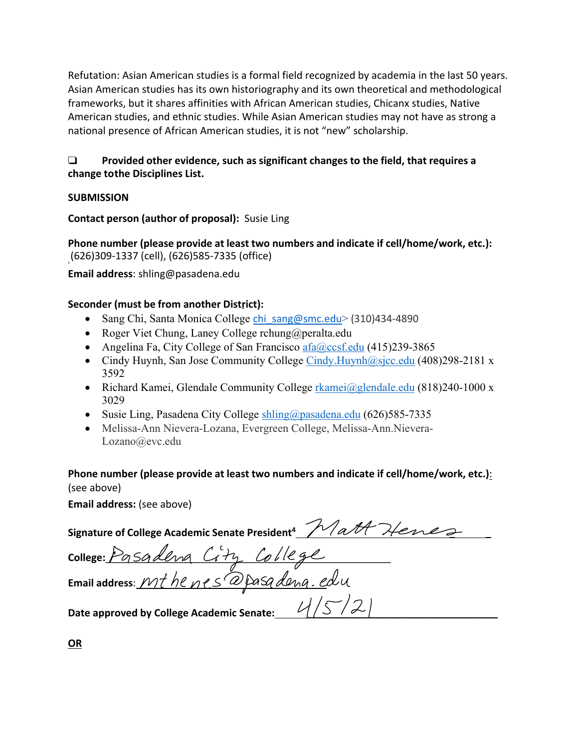Refutation: Asian American studies is a formal field recognized by academia in the last 50 years. Asian American studies has its own historiography and its own theoretical and methodological frameworks, but it shares affinities with African American studies, Chicanx studies, Native American studies, and ethnic studies. While Asian American studies may not have as strong a national presence of African American studies, it is not "new" scholarship.

# ! **Provided other evidence, such as significant changes to the field, that requires a change to the Disciplines List.**

## **SUBMISSION**

**Contact person (author of proposal):** Susie Ling

**Phone number (please provide at least two numbers and indicate if cell/home/work, etc.):** (626)309-1337 (cell), (626)585-7335 (office)

**Email address**: shling@pasadena.edu

# **Seconder (must be from another District):**

- Sang Chi, Santa Monica College chi\_sang@smc.edu> (310)434-4890
- Roger Viet Chung, Laney College rchung@peralta.edu
- Angelina Fa, City College of San Francisco  $afa@ccs f.edu$  (415)239-3865
- Cindy Huynh, San Jose Community College  $Cindy$ . Huynh $@s$ jcc.edu (408)298-2181 x 3592
- Richard Kamei, Glendale Community College rkamei@glendale.edu (818)240-1000 x 3029
- Susie Ling, Pasadena City College shling@pasadena.edu (626)585-7335
- Melissa-Ann Nievera-Lozana, Evergreen College, Melissa-Ann.Nievera-Lozano@evc.edu

**Phone number (please provide at least two numbers and indicate if cell/home/work, etc.)**: (see above)

**Email address:** (see above)

| Signature of College Academic Senate President <sup>4</sup> Matt Henes |
|------------------------------------------------------------------------|
| college: Posadena City College                                         |
| Email address: Mt he nes @pasadena. edu                                |
| Date approved by College Academic Senate:                              |

**OR**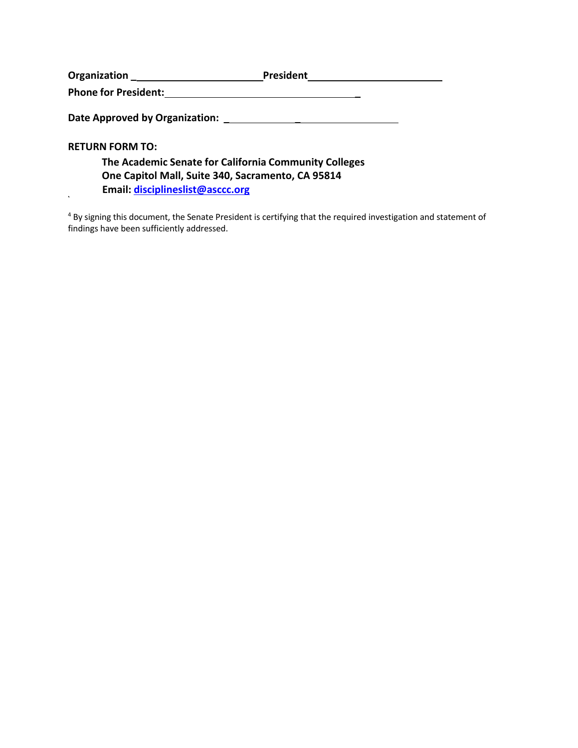| Organization                   | <b>President</b> |
|--------------------------------|------------------|
| <b>Phone for President:</b>    |                  |
|                                |                  |
| Date Approved by Organization: |                  |

**RETURN FORM TO:**

 $\ddot{\phantom{a}}$ 

| The Academic Senate for California Community Colleges |
|-------------------------------------------------------|
| One Capitol Mall, Suite 340, Sacramento, CA 95814     |
| Email: disciplineslist@asccc.org                      |

<sup>4</sup> By signing this document, the Senate President is certifying that the required investigation and statement of findings have been sufficiently addressed.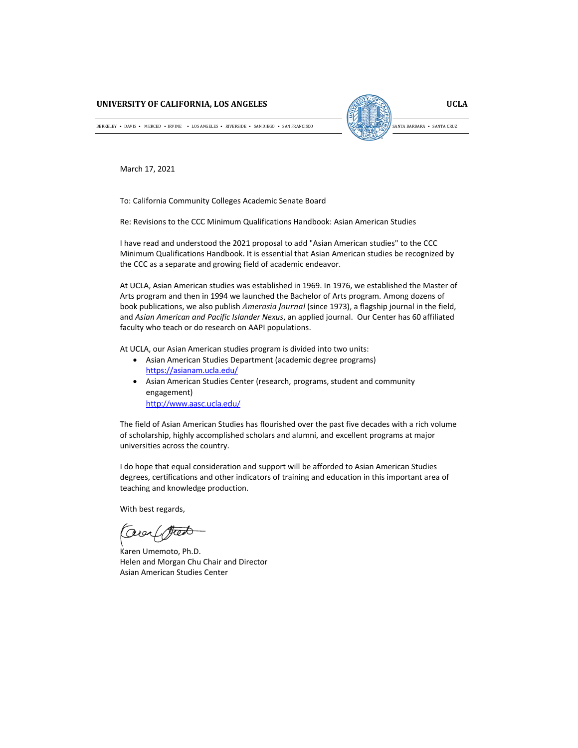#### **UNIVERSITY OF CALIFORNIA, LOS ANGELES**

**UCLA** SANTA BARBARA • SANTA CRUZ

BERKELEY • DAVIS • MERCED • IRVINE • LOS ANGELES • RIVERSIDE • SAN DIEGO • SAN FRANCISCO

March 17, 2021

To: California Community Colleges Academic Senate Board

Re: Revisions to the CCC Minimum Qualifications Handbook: Asian American Studies

I have read and understood the 2021 proposal to add "Asian American studies" to the CCC Minimum Qualifications Handbook. It is essential that Asian American studies be recognized by the CCC as a separate and growing field of academic endeavor.

At UCLA, Asian American studies was established in 1969. In 1976, we established the Master of Arts program and then in 1994 we launched the Bachelor of Arts program. Among dozens of book publications, we also publish *Amerasia Journal* (since 1973), a flagship journal in the field, and *Asian American and Pacific Islander Nexus*, an applied journal. Our Center has 60 affiliated faculty who teach or do research on AAPI populations.

At UCLA, our Asian American studies program is divided into two units:

- Asian American Studies Department (academic degree programs) https://asianam.ucla.edu/
- Asian American Studies Center (research, programs, student and community engagement)

http://www.aasc.ucla.edu/

The field of Asian American Studies has flourished over the past five decades with a rich volume of scholarship, highly accomplished scholars and alumni, and excellent programs at major universities across the country.

I do hope that equal consideration and support will be afforded to Asian American Studies degrees, certifications and other indicators of training and education in this important area of teaching and knowledge production.

With best regards,

Coreal feed

Karen Umemoto, Ph.D. Helen and Morgan Chu Chair and Director Asian American Studies Center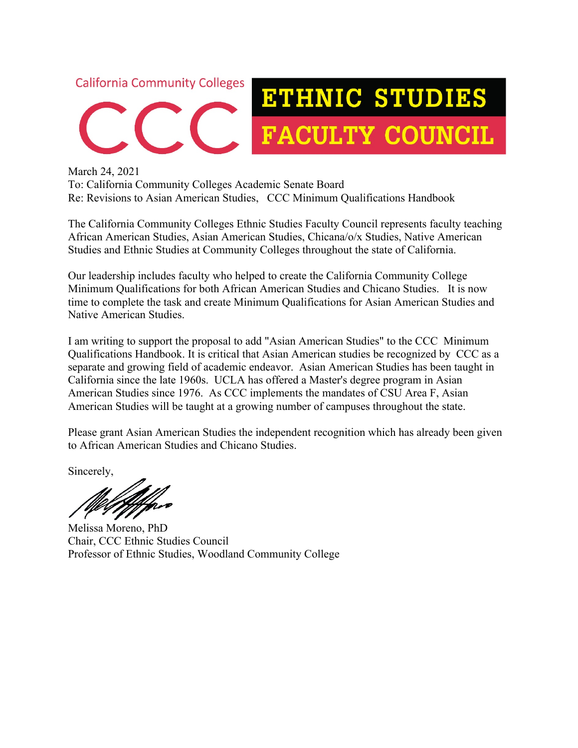

March 24, 2021 To: California Community Colleges Academic Senate Board Re: Revisions to Asian American Studies, CCC Minimum Qualifications Handbook

The California Community Colleges Ethnic Studies Faculty Council represents faculty teaching African American Studies, Asian American Studies, Chicana/o/x Studies, Native American Studies and Ethnic Studies at Community Colleges throughout the state of California.

Our leadership includes faculty who helped to create the California Community College Minimum Qualifications for both African American Studies and Chicano Studies. It is now time to complete the task and create Minimum Qualifications for Asian American Studies and Native American Studies.

I am writing to support the proposal to add "Asian American Studies" to the CCC Minimum Qualifications Handbook. It is critical that Asian American studies be recognized by CCC as a separate and growing field of academic endeavor. Asian American Studies has been taught in California since the late 1960s. UCLA has offered a Master's degree program in Asian American Studies since 1976. As CCC implements the mandates of CSU Area F, Asian American Studies will be taught at a growing number of campuses throughout the state.

Please grant Asian American Studies the independent recognition which has already been given to African American Studies and Chicano Studies.

Sincerely,

Melissa Moreno, PhD Chair, CCC Ethnic Studies Council Professor of Ethnic Studies, Woodland Community College